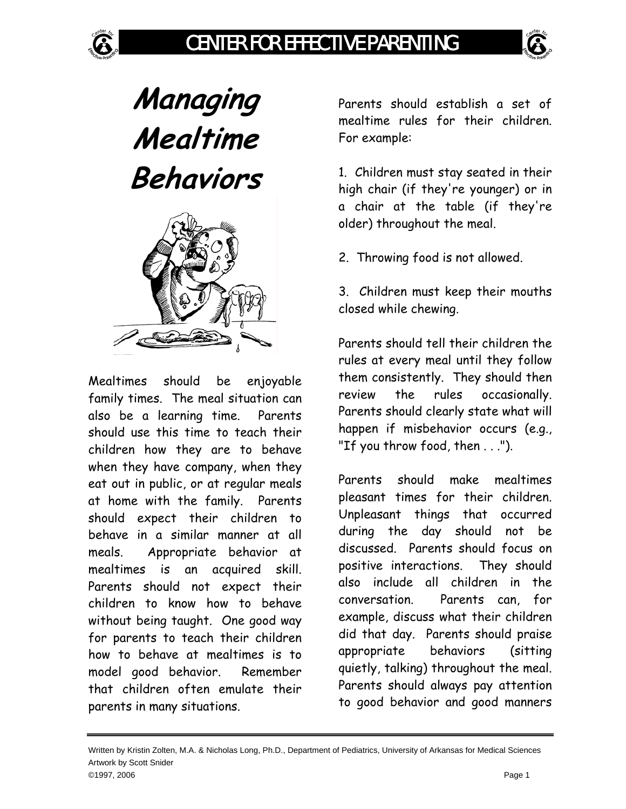**Managing Mealtime Behaviors** 



Mealtimes should be enjoyable family times. The meal situation can also be a learning time. Parents should use this time to teach their children how they are to behave when they have company, when they eat out in public, or at regular meals at home with the family. Parents should expect their children to behave in a similar manner at all meals. Appropriate behavior at mealtimes is an acquired skill. Parents should not expect their children to know how to behave without being taught. One good way for parents to teach their children how to behave at mealtimes is to model good behavior. Remember that children often emulate their parents in many situations.

Parents should establish a set of mealtime rules for their children. For example:

1. Children must stay seated in their high chair (if they're younger) or in a chair at the table (if they're older) throughout the meal.

2. Throwing food is not allowed.

3. Children must keep their mouths closed while chewing.

Parents should tell their children the rules at every meal until they follow them consistently. They should then review the rules occasionally. Parents should clearly state what will happen if misbehavior occurs (e.g., "If you throw food, then . . .").

Parents should make mealtimes pleasant times for their children. Unpleasant things that occurred during the day should not be discussed. Parents should focus on positive interactions. They should also include all children in the conversation. Parents can, for example, discuss what their children did that day. Parents should praise appropriate behaviors (sitting quietly, talking) throughout the meal. Parents should always pay attention to good behavior and good manners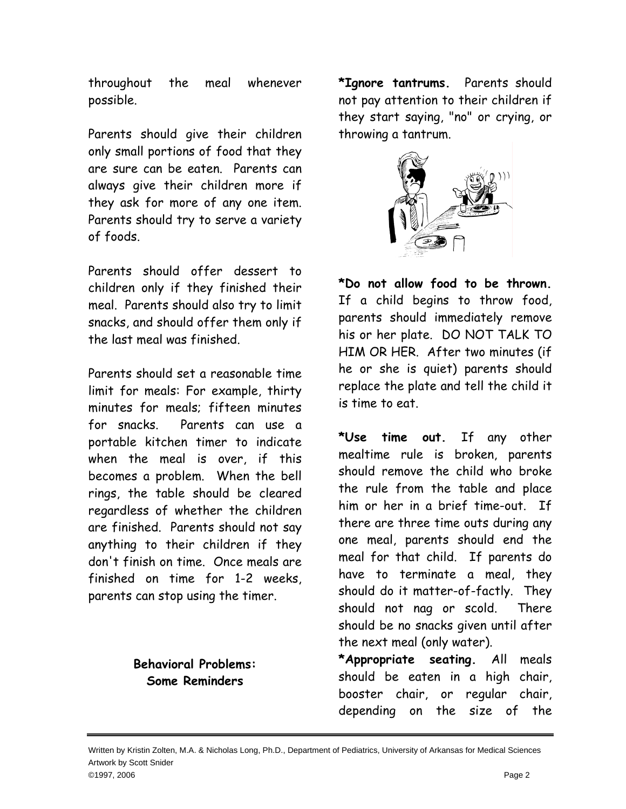throughout the meal whenever possible.

Parents should give their children only small portions of food that they are sure can be eaten. Parents can always give their children more if they ask for more of any one item. Parents should try to serve a variety of foods.

Parents should offer dessert to children only if they finished their meal. Parents should also try to limit snacks, and should offer them only if the last meal was finished.

Parents should set a reasonable time limit for meals: For example, thirty minutes for meals; fifteen minutes for snacks. Parents can use a portable kitchen timer to indicate when the meal is over, if this becomes a problem. When the bell rings, the table should be cleared regardless of whether the children are finished. Parents should not say anything to their children if they don't finish on time. Once meals are finished on time for 1-2 weeks, parents can stop using the timer.

## **Behavioral Problems: Some Reminders**

**\*Ignore tantrums.** Parents should not pay attention to their children if they start saying, "no" or crying, or throwing a tantrum.



**\*Do not allow food to be thrown.**  If a child begins to throw food, parents should immediately remove his or her plate. DO NOT TALK TO HIM OR HER. After two minutes (if he or she is quiet) parents should replace the plate and tell the child it is time to eat.

**\*Use time out.** If any other mealtime rule is broken, parents should remove the child who broke the rule from the table and place him or her in a brief time-out. If there are three time outs during any one meal, parents should end the meal for that child. If parents do have to terminate a meal, they should do it matter-of-factly. They should not nag or scold. There should be no snacks given until after the next meal (only water).

**\*Appropriate seating.** All meals should be eaten in a high chair, booster chair, or regular chair, depending on the size of the